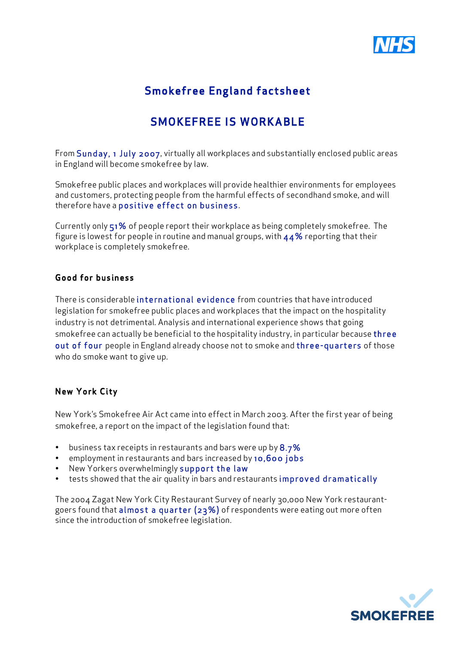

# Smokefree England factsheet

## SMOKEFREE IS WORKABLE

From Sunday, 1 July 2007, virtually all workplaces and substantially enclosed public areas in England will become smokefree by law.

Smokefree public places and workplaces will provide healthier environments for employees and customers, protecting people from the harmful effects of secondhand smoke, and will therefore have a positive effect on business.

Currently only 51% of people report their workplace as being completely smokefree. The figure is lowest for people in routine and manual groups, with  $44\%$  reporting that their workplace is completely smokefree.

#### Good for business

There is considerable international evidence from countries that have introduced legislation for smokefree public places and workplaces that the impact on the hospitality industry is not detrimental. Analysis and international experience shows that going smokefree can actually be beneficial to the hospitality industry, in particular because three out of four people in England already choose not to smoke and three-quarters of those who do smoke want to give up.

#### **New York City**

New York's Smokefree Air Act came into effect in March 2003. After the first year of being smokefree, a report on the impact of the legislation found that:

- $\cdot$  business tax receipts in restaurants and bars were up by  $8.7\%$
- employment in restaurants and bars increased by 10,600 jobs
- New Yorkers overwhelmingly support the law
- tests showed that the air quality in bars and restaurants improved dramatically

The 2004 Zagat New York City Restaurant Survey of nearly 30,000 New York restaurantgoers found that almost a quarter (23%) of respondents were eating out more often since the introduction of smokefree legislation.

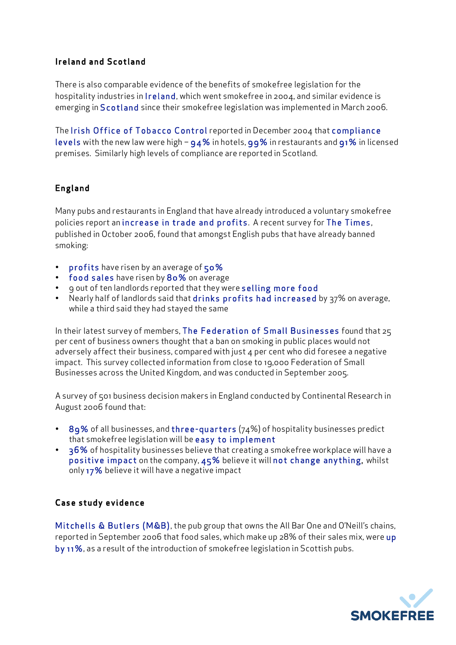#### Ireland and Scotland

There is also comparable evidence of the benefits of smokefree legislation for the hospitality industries in Ireland, which went smokefree in 2004, and similar evidence is emerging in Scotland since their smokefree legislation was implemented in March 2006.

The Irish Office of Tobacco Control reported in December 2004 that compliance levels with the new law were high  $-$  94% in hotels, 99% in restaurants and 91% in licensed premises. Similarly high levels of compliance are reported in Scotland.

### England

Many pubs and restaurants in England that have already introduced a voluntary smokefree policies report an increase in trade and profits. A recent survey for The Times, published in October 2006, found that amongst English pubs that have already banned smoking:

- profits have risen by an average of 50%
- food sales have risen by 80% on average
- gout of ten landlords reported that they were selling more food
- Nearly half of landlords said that drinks profits had increased by 37% on average, while a third said they had stayed the same

In their latest survey of members, The Federation of Small Businesses found that 25 per cent of business owners thought that a ban on smoking in public places would not adversely affect their business, compared with just 4 per cent who did foresee a negative impact. This survey collected information from close to 19,000 Federation of Small Businesses across the United Kingdom, and was conducted in September 2005.

A survey of 501 business decision makers in England conducted by Continental Research in August 2006 found that:

- 89% of all businesses, and three-quarters (74%) of hospitality businesses predict that smokefree legislation will be easy to implement
- 36% of hospitality businesses believe that creating a smokefree workplace will have a positive impact on the company, 45% believe it will not change anything, whilst only 17% believe it will have a negative impact

### Case study evidence

Mitchells & Butlers (M&B), the pub group that owns the All Bar One and O'Neill's chains, reported in September 2006 that food sales, which make up 28% of their sales mix, were up by 11%, as a result of the introduction of smokefree legislation in Scottish pubs.